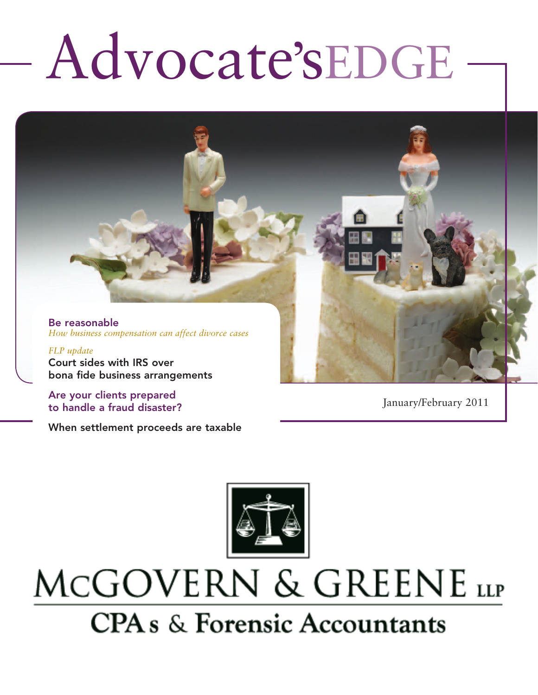# Advocate'sEDGE

Be reasonable *How business compensation can affect divorce cases* 

#### *FLP update*

Court sides with IRS over bona fide business arrangements

Are your clients prepared to handle a fraud disaster?

When settlement proceeds are taxable

January/February 2011



# MCGOVERN & GREENE LLP **CPA**s & Forensic Accountants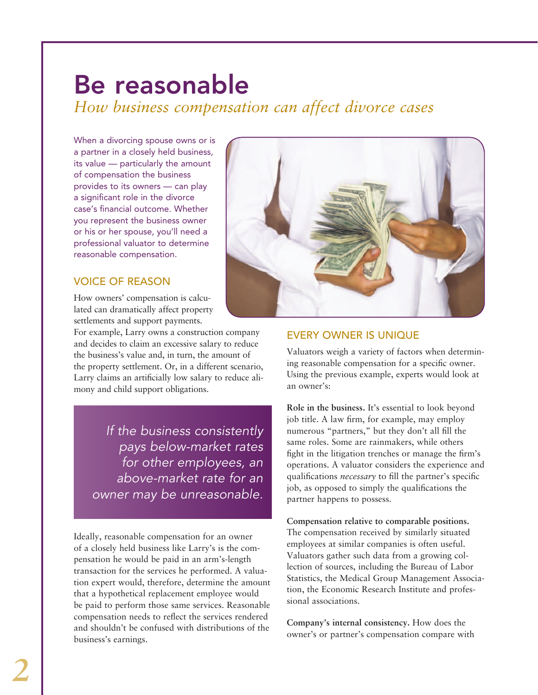## Be reasonable

*How business compensation can affect divorce cases* 

When a divorcing spouse owns or is a partner in a closely held business, its value — particularly the amount of compensation the business provides to its owners — can play a significant role in the divorce case's financial outcome. Whether you represent the business owner or his or her spouse, you'll need a professional valuator to determine reasonable compensation.

#### Voice of reason

How owners' compensation is calculated can dramatically affect property settlements and support payments.

For example, Larry owns a construction company and decides to claim an excessive salary to reduce the business's value and, in turn, the amount of the property settlement. Or, in a different scenario, Larry claims an artificially low salary to reduce alimony and child support obligations.

*If the business consistently pays below-market rates for other employees, an above-market rate for an owner may be unreasonable.*

Ideally, reasonable compensation for an owner of a closely held business like Larry's is the compensation he would be paid in an arm's-length transaction for the services he performed. A valuation expert would, therefore, determine the amount that a hypothetical replacement employee would be paid to perform those same services. Reasonable compensation needs to reflect the services rendered and shouldn't be confused with distributions of the business's earnings.



#### Every owner is unique

Valuators weigh a variety of factors when determining reasonable compensation for a specific owner. Using the previous example, experts would look at an owner's:

**Role in the business.** It's essential to look beyond job title. A law firm, for example, may employ numerous "partners," but they don't all fill the same roles. Some are rainmakers, while others fight in the litigation trenches or manage the firm's operations. A valuator considers the experience and qualifications *necessary* to fill the partner's specific job, as opposed to simply the qualifications the partner happens to possess.

**Compensation relative to comparable positions.** The compensation received by similarly situated employees at similar companies is often useful. Valuators gather such data from a growing collection of sources, including the Bureau of Labor Statistics, the Medical Group Management Association, the Economic Research Institute and professional associations.

**Company's internal consistency.** How does the owner's or partner's compensation compare with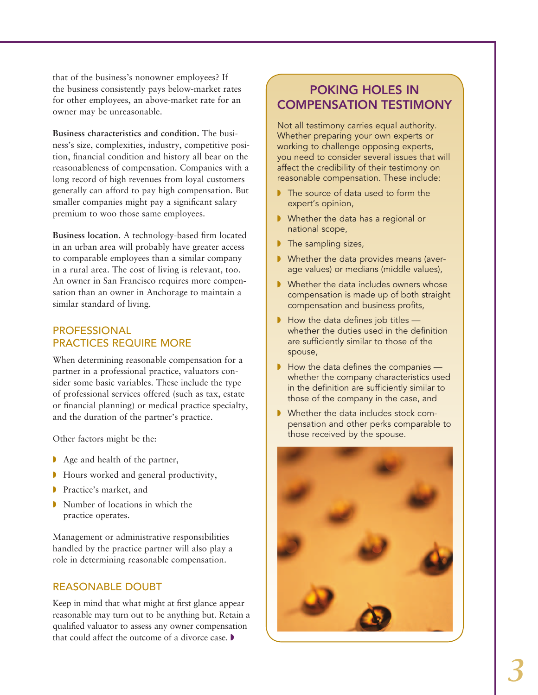that of the business's nonowner employees? If the business consistently pays below-market rates for other employees, an above-market rate for an owner may be unreasonable.

**Business characteristics and condition.** The business's size, complexities, industry, competitive position, financial condition and history all bear on the reasonableness of compensation. Companies with a long record of high revenues from loyal customers generally can afford to pay high compensation. But smaller companies might pay a significant salary premium to woo those same employees.

**Business location.** A technology-based firm located in an urban area will probably have greater access to comparable employees than a similar company in a rural area. The cost of living is relevant, too. An owner in San Francisco requires more compensation than an owner in Anchorage to maintain a similar standard of living.

#### **PROFESSIONAL** PRACTICES REQUIRE MORE

When determining reasonable compensation for a partner in a professional practice, valuators consider some basic variables. These include the type of professional services offered (such as tax, estate or financial planning) or medical practice specialty, and the duration of the partner's practice.

Other factors might be the:

- $\blacktriangleright$  Age and health of the partner,
- $\blacktriangleright$  Hours worked and general productivity,
- **Practice's market, and**
- $\triangleright$  Number of locations in which the practice operates.

Management or administrative responsibilities handled by the practice partner will also play a role in determining reasonable compensation.

#### REASONABLE DOUBT

Keep in mind that what might at first glance appear reasonable may turn out to be anything but. Retain a qualified valuator to assess any owner compensation that could affect the outcome of a divorce case.  $\blacktriangleright$ 

#### Poking holes in compensation testimony

Not all testimony carries equal authority. Whether preparing your own experts or working to challenge opposing experts, you need to consider several issues that will affect the credibility of their testimony on reasonable compensation. These include:

- The source of data used to form the expert's opinion,
- Whether the data has a regional or national scope,
- $\blacktriangleright$  The sampling sizes,
- **Whether the data provides means (aver**age values) or medians (middle values),
- **Whether the data includes owners whose** compensation is made up of both straight compensation and business profits,
- $\blacksquare$  How the data defines job titles  $\blacksquare$ whether the duties used in the definition are sufficiently similar to those of the spouse,
- $\blacktriangleright$  How the data defines the companies whether the company characteristics used in the definition are sufficiently similar to those of the company in the case, and
- Whether the data includes stock compensation and other perks comparable to those received by the spouse.

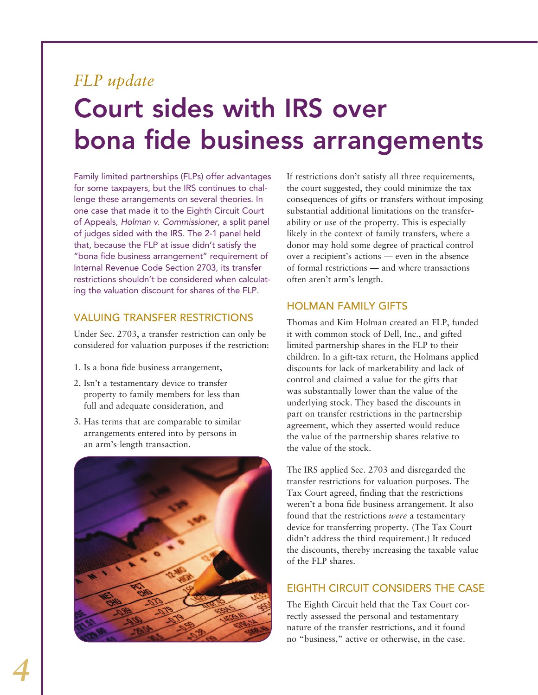## *FLP update* Court sides with IRS over bona fide business arrangements

Family limited partnerships (FLPs) offer advantages for some taxpayers, but the IRS continues to challenge these arrangements on several theories. In one case that made it to the Eighth Circuit Court of Appeals, *Holman v. Commissioner*, a split panel of judges sided with the IRS. The 2-1 panel held that, because the FLP at issue didn't satisfy the "bona fide business arrangement" requirement of Internal Revenue Code Section 2703, its transfer restrictions shouldn't be considered when calculating the valuation discount for shares of the FLP.

#### Valuing transfer restrictions

Under Sec. 2703, a transfer restriction can only be considered for valuation purposes if the restriction:

- 1. Is a bona fide business arrangement,
- 2. Isn't a testamentary device to transfer property to family members for less than full and adequate consideration, and
- 3. Has terms that are comparable to similar arrangements entered into by persons in an arm's-length transaction.



If restrictions don't satisfy all three requirements, the court suggested, they could minimize the tax consequences of gifts or transfers without imposing substantial additional limitations on the transferability or use of the property. This is especially likely in the context of family transfers, where a donor may hold some degree of practical control over a recipient's actions — even in the absence of formal restrictions — and where transactions often aren't arm's length.

#### Holman family gifts

Thomas and Kim Holman created an FLP, funded it with common stock of Dell, Inc., and gifted limited partnership shares in the FLP to their children. In a gift-tax return, the Holmans applied discounts for lack of marketability and lack of control and claimed a value for the gifts that was substantially lower than the value of the underlying stock. They based the discounts in part on transfer restrictions in the partnership agreement, which they asserted would reduce the value of the partnership shares relative to the value of the stock.

The IRS applied Sec. 2703 and disregarded the transfer restrictions for valuation purposes. The Tax Court agreed, finding that the restrictions weren't a bona fide business arrangement. It also found that the restrictions *were* a testamentary device for transferring property. (The Tax Court didn't address the third requirement.) It reduced the discounts, thereby increasing the taxable value of the FLP shares.

#### Eighth Circuit considers the case

The Eighth Circuit held that the Tax Court correctly assessed the personal and testamentary nature of the transfer restrictions, and it found no "business," active or otherwise, in the case.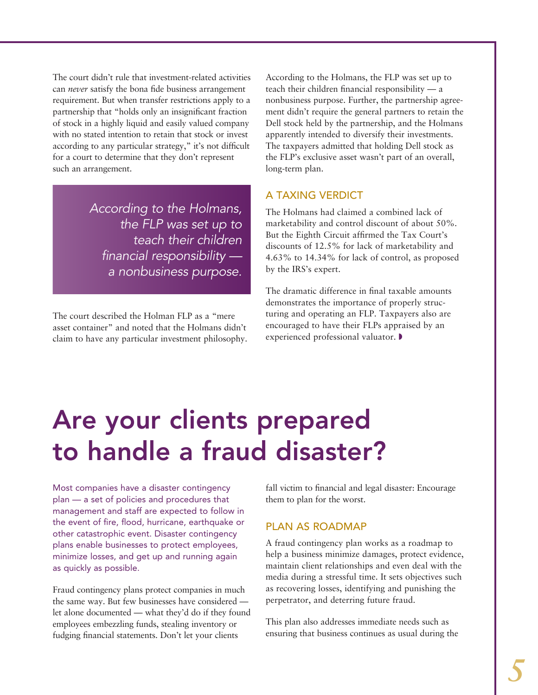The court didn't rule that investment-related activities can *never* satisfy the bona fide business arrangement requirement. But when transfer restrictions apply to a partnership that "holds only an insignificant fraction of stock in a highly liquid and easily valued company with no stated intention to retain that stock or invest according to any particular strategy," it's not difficult for a court to determine that they don't represent such an arrangement.

> *According to the Holmans, the FLP was set up to teach their children financial responsibility a nonbusiness purpose.*

The court described the Holman FLP as a "mere asset container" and noted that the Holmans didn't claim to have any particular investment philosophy. According to the Holmans, the FLP was set up to teach their children financial responsibility — a nonbusiness purpose. Further, the partnership agreement didn't require the general partners to retain the Dell stock held by the partnership, and the Holmans apparently intended to diversify their investments. The taxpayers admitted that holding Dell stock as the FLP's exclusive asset wasn't part of an overall, long-term plan.

#### A taxing verdict

The Holmans had claimed a combined lack of marketability and control discount of about 50%. But the Eighth Circuit affirmed the Tax Court's discounts of 12.5% for lack of marketability and 4.63% to 14.34% for lack of control, as proposed by the IRS's expert.

The dramatic difference in final taxable amounts demonstrates the importance of properly structuring and operating an FLP. Taxpayers also are encouraged to have their FLPs appraised by an experienced professional valuator.

# Are your clients prepared to handle a fraud disaster?

Most companies have a disaster contingency plan — a set of policies and procedures that management and staff are expected to follow in the event of fire, flood, hurricane, earthquake or other catastrophic event. Disaster contingency plans enable businesses to protect employees, minimize losses, and get up and running again as quickly as possible.

Fraud contingency plans protect companies in much the same way. But few businesses have considered let alone documented — what they'd do if they found employees embezzling funds, stealing inventory or fudging financial statements. Don't let your clients

fall victim to financial and legal disaster: Encourage them to plan for the worst.

#### Plan as roadmap

A fraud contingency plan works as a roadmap to help a business minimize damages, protect evidence, maintain client relationships and even deal with the media during a stressful time. It sets objectives such as recovering losses, identifying and punishing the perpetrator, and deterring future fraud.

This plan also addresses immediate needs such as ensuring that business continues as usual during the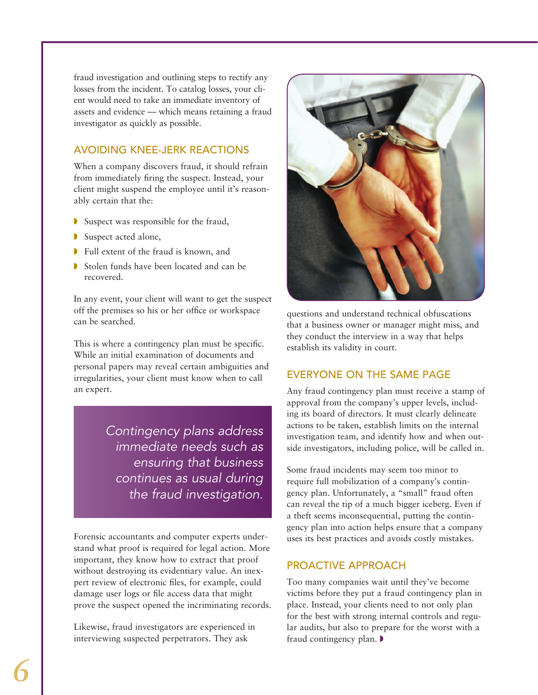fraud investigation and outlining steps to rectify any losses from the incident. To catalog losses, your client would need to take an immediate inventory of assets and evidence — which means retaining a fraud investigator as quickly as possible.

#### Avoiding knee-jerk reactions

When a company discovers fraud, it should refrain from immediately firing the suspect. Instead, your client might suspend the employee until it's reasonably certain that the:

- $\triangleright$  Suspect was responsible for the fraud,
- Suspect acted alone,
- Full extent of the fraud is known, and
- $\triangleright$  Stolen funds have been located and can be recovered.

In any event, your client will want to get the suspect off the premises so his or her office or workspace can be searched.

This is where a contingency plan must be specific. While an initial examination of documents and personal papers may reveal certain ambiguities and irregularities, your client must know when to call an expert.

> *Contingency plans address immediate needs such as ensuring that business continues as usual during the fraud investigation.*

Forensic accountants and computer experts understand what proof is required for legal action. More important, they know how to extract that proof without destroying its evidentiary value. An inexpert review of electronic files, for example, could damage user logs or file access data that might prove the suspect opened the incriminating records.

Likewise, fraud investigators are experienced in interviewing suspected perpetrators. They ask



questions and understand technical obfuscations that a business owner or manager might miss, and they conduct the interview in a way that helps establish its validity in court.

#### Everyone on the same page

Any fraud contingency plan must receive a stamp of approval from the company's upper levels, including its board of directors. It must clearly delineate actions to be taken, establish limits on the internal investigation team, and identify how and when outside investigators, including police, will be called in.

Some fraud incidents may seem too minor to require full mobilization of a company's contingency plan. Unfortunately, a "small" fraud often can reveal the tip of a much bigger iceberg. Even if a theft seems inconsequential, putting the contingency plan into action helps ensure that a company uses its best practices and avoids costly mistakes.

#### PROACTIVE APPROACH

Too many companies wait until they've become victims before they put a fraud contingency plan in place. Instead, your clients need to not only plan for the best with strong internal controls and regular audits, but also to prepare for the worst with a fraud contingency plan.